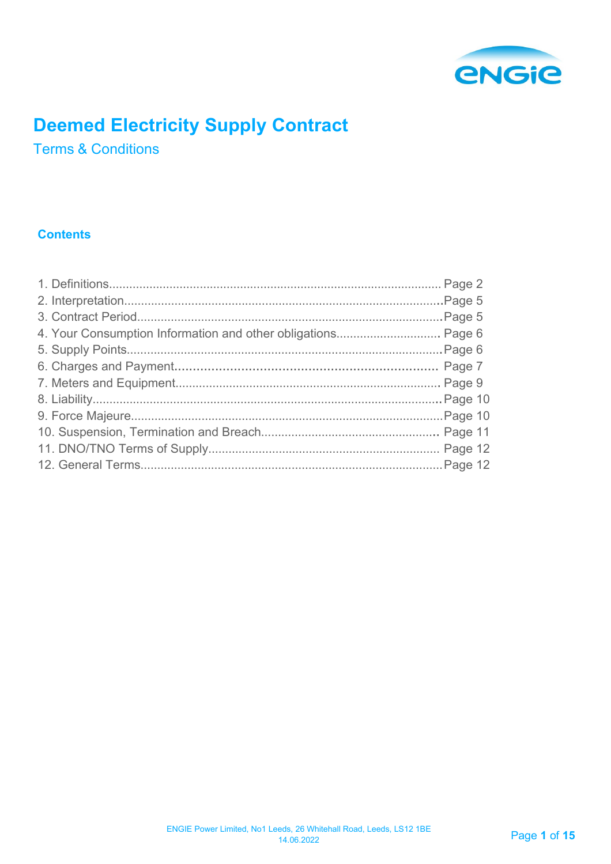

# **Deemed Electricity Supply Contract**

Terms & Conditions

# **Contents**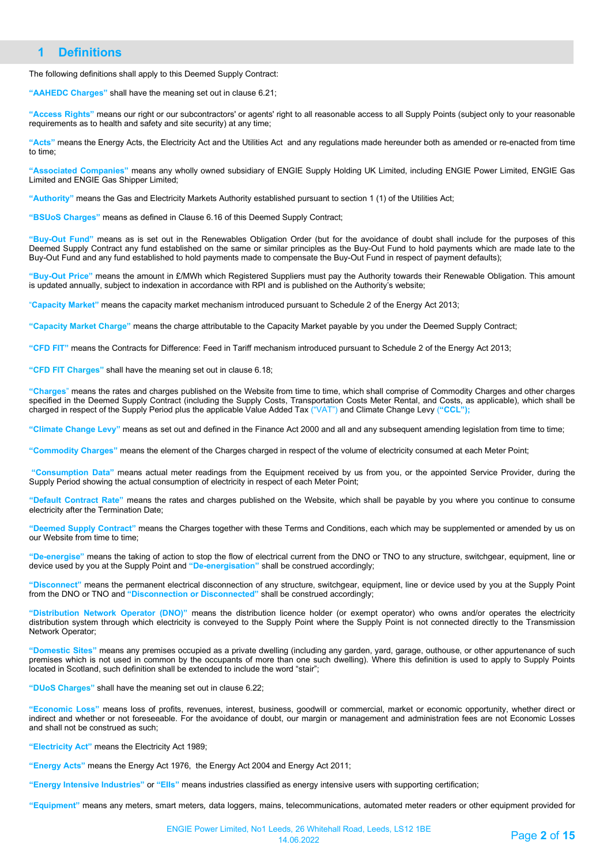# **1 Definitions**

The following definitions shall apply to this Deemed Supply Contract:

**"AAHEDC Charges"** shall have the meaning set out in clause 6.21;

**"Access Rights"** means our right or our subcontractors' or agents' right to all reasonable access to all Supply Points (subject only to your reasonable requirements as to health and safety and site security) at any time;

**"Acts"** means the Energy Acts, the Electricity Act and the Utilities Act and any regulations made hereunder both as amended or re-enacted from time to time;

**"Associated Companies"** means any wholly owned subsidiary of ENGIE Supply Holding UK Limited, including ENGIE Power Limited, ENGIE Gas Limited and ENGIE Gas Shipper Limited;

**"Authority"** means the Gas and Electricity Markets Authority established pursuant to section 1 (1) of the Utilities Act;

**"BSUoS Charges"** means as defined in Clause 6.16 of this Deemed Supply Contract;

**"Buy-Out Fund"** means as is set out in the Renewables Obligation Order (but for the avoidance of doubt shall include for the purposes of this Deemed Supply Contract any fund established on the same or similar principles as the Buy-Out Fund to hold payments which are made late to the Buy-Out Fund and any fund established to hold payments made to compensate the Buy-Out Fund in respect of payment defaults);

**"Buy-Out Price"** means the amount in £/MWh which Registered Suppliers must pay the Authority towards their Renewable Obligation. This amount is updated annually, subject to indexation in accordance with RPI and is published on the Authority's website;

"**Capacity Market"** means the capacity market mechanism introduced pursuant to Schedule 2 of the Energy Act 2013;

**"Capacity Market Charge"** means the charge attributable to the Capacity Market payable by you under the Deemed Supply Contract;

**"CFD FIT"** means the Contracts for Difference: Feed in Tariff mechanism introduced pursuant to Schedule 2 of the Energy Act 2013;

**"CFD FIT Charges"** shall have the meaning set out in clause 6.18;

**"Charges**" means the rates and charges published on the Website from time to time, which shall comprise of Commodity Charges and other charges specified in the Deemed Supply Contract (including the Supply Costs, Transportation Costs Meter Rental, and Costs, as applicable), which shall be charged in respect of the Supply Period plus the applicable Value Added Tax ("VAT") and Climate Change Levy (**"CCL");**

**"Climate Change Levy"** means as set out and defined in the Finance Act 2000 and all and any subsequent amending legislation from time to time;

**"Commodity Charges"** means the element of the Charges charged in respect of the volume of electricity consumed at each Meter Point;

**"Consumption Data"** means actual meter readings from the Equipment received by us from you, or the appointed Service Provider, during the Supply Period showing the actual consumption of electricity in respect of each Meter Point;

**"Default Contract Rate"** means the rates and charges published on the Website, which shall be payable by you where you continue to consume electricity after the Termination Date;

**"Deemed Supply Contract"** means the Charges together with these Terms and Conditions, each which may be supplemented or amended by us on our Website from time to time;

**"De-energise"** means the taking of action to stop the flow of electrical current from the DNO or TNO to any structure, switchgear, equipment, line or device used by you at the Supply Point and **"De-energisation"** shall be construed accordingly;

**"Disconnect"** means the permanent electrical disconnection of any structure, switchgear, equipment, line or device used by you at the Supply Point from the DNO or TNO and **"Disconnection or Disconnected"** shall be construed accordingly;

**"Distribution Network Operator (DNO)"** means the distribution licence holder (or exempt operator) who owns and/or operates the electricity distribution system through which electricity is conveyed to the Supply Point where the Supply Point is not connected directly to the Transmission Network Operator;

**"Domestic Sites"** means any premises occupied as a private dwelling (including any garden, yard, garage, outhouse, or other appurtenance of such premises which is not used in common by the occupants of more than one such dwelling). Where this definition is used to apply to Supply Points located in Scotland, such definition shall be extended to include the word "stair";

**"DUoS Charges"** shall have the meaning set out in clause 6.22;

**"Economic Loss"** means loss of profits, revenues, interest, business, goodwill or commercial, market or economic opportunity, whether direct or indirect and whether or not foreseeable. For the avoidance of doubt, our margin or management and administration fees are not Economic Losses and shall not be construed as such;

**"Electricity Act"** means the Electricity Act 1989;

**"Energy Acts"** means the Energy Act 1976, the Energy Act 2004 and Energy Act 2011;

**"Energy Intensive Industries"** or **"EIIs"** means industries classified as energy intensive users with supporting certification;

**"Equipment"** means any meters, smart meters, data loggers, mains, telecommunications, automated meter readers or other equipment provided for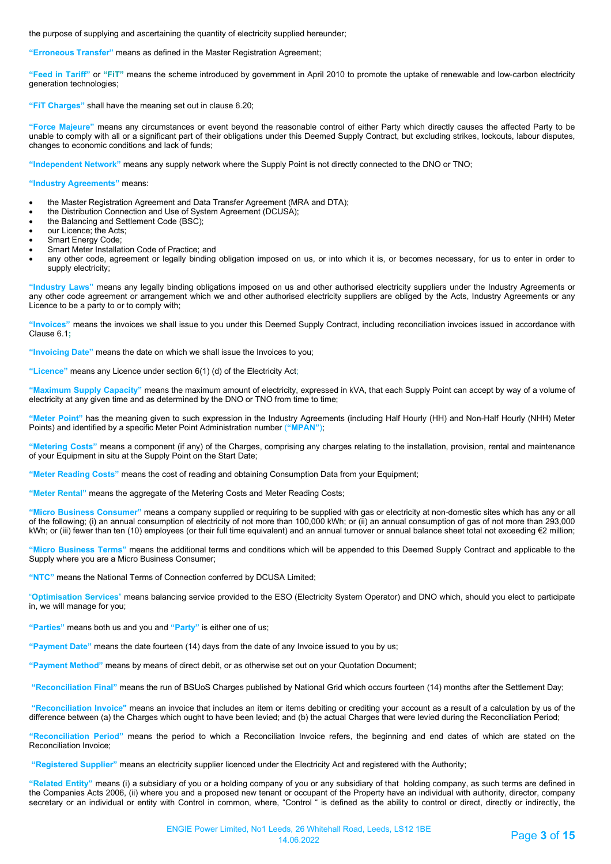the purpose of supplying and ascertaining the quantity of electricity supplied hereunder;

**"Erroneous Transfer"** means as defined in the Master Registration Agreement;

**"Feed in Tariff"** or **"FiT"** means the scheme introduced by government in April 2010 to promote the uptake of renewable and low-carbon electricity generation technologies;

**"FiT Charges"** shall have the meaning set out in clause 6.20;

**"Force Majeure"** means any circumstances or event beyond the reasonable control of either Party which directly causes the affected Party to be unable to comply with all or a significant part of their obligations under this Deemed Supply Contract, but excluding strikes, lockouts, labour disputes, changes to economic conditions and lack of funds;

**"Independent Network"** means any supply network where the Supply Point is not directly connected to the DNO or TNO;

**"Industry Agreements"** means:

- the Master Registration Agreement and Data Transfer Agreement (MRA and DTA);
- the Distribution Connection and Use of System Agreement (DCUSA);
- the Balancing and Settlement Code (BSC);
- our Licence; the Acts;
- Smart Energy Code;
- Smart Meter Installation Code of Practice; and
- any other code, agreement or legally binding obligation imposed on us, or into which it is, or becomes necessary, for us to enter in order to supply electricity;

**"Industry Laws"** means any legally binding obligations imposed on us and other authorised electricity suppliers under the Industry Agreements or any other code agreement or arrangement which we and other authorised electricity suppliers are obliged by the Acts, Industry Agreements or any Licence to be a party to or to comply with;

**"Invoices"** means the invoices we shall issue to you under this Deemed Supply Contract, including reconciliation invoices issued in accordance with Clause 6.1**;**

**"Invoicing Date"** means the date on which we shall issue the Invoices to you;

**"Licence"** means any Licence under section 6(1) (d) of the Electricity Act;

**"Maximum Supply Capacity"** means the maximum amount of electricity, expressed in kVA, that each Supply Point can accept by way of a volume of electricity at any given time and as determined by the DNO or TNO from time to time;

**"Meter Point"** has the meaning given to such expression in the Industry Agreements (including Half Hourly (HH) and Non-Half Hourly (NHH) Meter Points) and identified by a specific Meter Point Administration number (**"MPAN"**);

**"Metering Costs"** means a component (if any) of the Charges, comprising any charges relating to the installation, provision, rental and maintenance of your Equipment in situ at the Supply Point on the Start Date;

**"Meter Reading Costs"** means the cost of reading and obtaining Consumption Data from your Equipment;

**"Meter Rental"** means the aggregate of the Metering Costs and Meter Reading Costs;

**"Micro Business Consumer"** means a company supplied or requiring to be supplied with gas or electricity at non-domestic sites which has any or all of the following; (i) an annual consumption of electricity of not more than 100,000 kWh; or (ii) an annual consumption of gas of not more than 293,000 kWh; or (iii) fewer than ten (10) employees (or their full time equivalent) and an annual turnover or annual balance sheet total not exceeding €2 million;

**"Micro Business Terms"** means the additional terms and conditions which will be appended to this Deemed Supply Contract and applicable to the Supply where you are a Micro Business Consumer;

**"NTC"** means the National Terms of Connection conferred by DCUSA Limited;

"**Optimisation Services**" means balancing service provided to the ESO (Electricity System Operator) and DNO which, should you elect to participate in, we will manage for you;

**"Parties"** means both us and you and **"Party"** is either one of us;

**"Payment Date"** means the date fourteen (14) days from the date of any Invoice issued to you by us;

**"Payment Method"** means by means of direct debit, or as otherwise set out on your Quotation Document;

**"Reconciliation Final"** means the run of BSUoS Charges published by National Grid which occurs fourteen (14) months after the Settlement Day;

**"Reconciliation Invoice"** means an invoice that includes an item or items debiting or crediting your account as a result of a calculation by us of the difference between (a) the Charges which ought to have been levied; and (b) the actual Charges that were levied during the Reconciliation Period;

**"Reconciliation Period"** means the period to which a Reconciliation Invoice refers, the beginning and end dates of which are stated on the Reconciliation Invoice;

**"Registered Supplier"** means an electricity supplier licenced under the Electricity Act and registered with the Authority;

**"Related Entity"** means (i) a subsidiary of you or a holding company of you or any subsidiary of that holding company, as such terms are defined in the Companies Acts 2006, (ii) where you and a proposed new tenant or occupant of the Property have an individual with authority, director, company secretary or an individual or entity with Control in common, where, "Control " is defined as the ability to control or direct, directly or indirectly, the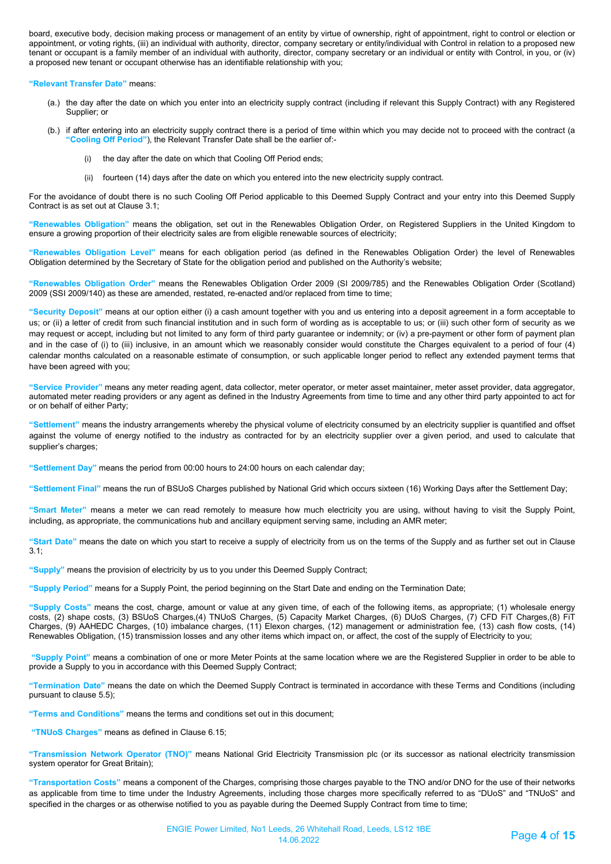board, executive body, decision making process or management of an entity by virtue of ownership, right of appointment, right to control or election or appointment, or voting rights, (iii) an individual with authority, director, company secretary or entity/individual with Control in relation to a proposed new tenant or occupant is a family member of an individual with authority, director, company secretary or an individual or entity with Control, in you, or (iv) a proposed new tenant or occupant otherwise has an identifiable relationship with you;

**"Relevant Transfer Date"** means:

- (a.) the day after the date on which you enter into an electricity supply contract (including if relevant this Supply Contract) with any Registered Supplier; or
- (b.) if after entering into an electricity supply contract there is a period of time within which you may decide not to proceed with the contract (a **"Cooling Off Period"**), the Relevant Transfer Date shall be the earlier of:
	- the day after the date on which that Cooling Off Period ends;
	- (ii) fourteen (14) days after the date on which you entered into the new electricity supply contract.

For the avoidance of doubt there is no such Cooling Off Period applicable to this Deemed Supply Contract and your entry into this Deemed Supply Contract is as set out at Clause 3.1;

**"Renewables Obligation"** means the obligation, set out in the Renewables Obligation Order, on Registered Suppliers in the United Kingdom to ensure a growing proportion of their electricity sales are from eligible renewable sources of electricity;

**"Renewables Obligation Level"** means for each obligation period (as defined in the Renewables Obligation Order) the level of Renewables Obligation determined by the Secretary of State for the obligation period and published on the Authority's website;

**"Renewables Obligation Order"** means the Renewables Obligation Order 2009 (SI 2009/785) and the Renewables Obligation Order (Scotland) 2009 (SSI 2009/140) as these are amended, restated, re-enacted and/or replaced from time to time;

**"Security Deposit"** means at our option either (i) a cash amount together with you and us entering into a deposit agreement in a form acceptable to us; or (ii) a letter of credit from such financial institution and in such form of wording as is acceptable to us; or (iii) such other form of security as we may request or accept, including but not limited to any form of third party guarantee or indemnity; or (iv) a pre-payment or other form of payment plan and in the case of (i) to (iii) inclusive, in an amount which we reasonably consider would constitute the Charges equivalent to a period of four (4) calendar months calculated on a reasonable estimate of consumption, or such applicable longer period to reflect any extended payment terms that have been agreed with you;

**"Service Provider"** means any meter reading agent, data collector, meter operator, or meter asset maintainer, meter asset provider, data aggregator, automated meter reading providers or any agent as defined in the Industry Agreements from time to time and any other third party appointed to act for or on behalf of either Party;

**"Settlement"** means the industry arrangements whereby the physical volume of electricity consumed by an electricity supplier is quantified and offset against the volume of energy notified to the industry as contracted for by an electricity supplier over a given period, and used to calculate that supplier's charges;

**"Settlement Day"** means the period from 00:00 hours to 24:00 hours on each calendar day;

**"Settlement Final"** means the run of BSUoS Charges published by National Grid which occurs sixteen (16) Working Days after the Settlement Day;

**"Smart Meter"** means a meter we can read remotely to measure how much electricity you are using, without having to visit the Supply Point, including, as appropriate, the communications hub and ancillary equipment serving same, including an AMR meter;

**"Start Date"** means the date on which you start to receive a supply of electricity from us on the terms of the Supply and as further set out in Clause  $3.1<sup>°</sup>$ 

**"Supply"** means the provision of electricity by us to you under this Deemed Supply Contract;

**"Supply Period"** means for a Supply Point, the period beginning on the Start Date and ending on the Termination Date;

**"Supply Costs"** means the cost, charge, amount or value at any given time, of each of the following items, as appropriate; (1) wholesale energy costs, (2) shape costs, (3) BSUoS Charges,(4) TNUoS Charges, (5) Capacity Market Charges, (6) DUoS Charges, (7) CFD FiT Charges,(8) FiT Charges, (9) AAHEDC Charges, (10) imbalance charges, (11) Elexon charges, (12) management or administration fee, (13) cash flow costs, (14) Renewables Obligation, (15) transmission losses and any other items which impact on, or affect, the cost of the supply of Electricity to you;

**"Supply Point"** means a combination of one or more Meter Points at the same location where we are the Registered Supplier in order to be able to provide a Supply to you in accordance with this Deemed Supply Contract;

**"Termination Date"** means the date on which the Deemed Supply Contract is terminated in accordance with these Terms and Conditions (including pursuant to clause 5.5);

**"Terms and Conditions"** means the terms and conditions set out in this document;

**"TNUoS Charges"** means as defined in Clause 6.15;

**"Transmission Network Operator (TNO)"** means National Grid Electricity Transmission plc (or its successor as national electricity transmission system operator for Great Britain);

**"Transportation Costs"** means a component of the Charges, comprising those charges payable to the TNO and/or DNO for the use of their networks as applicable from time to time under the Industry Agreements, including those charges more specifically referred to as "DUoS" and "TNUoS" and specified in the charges or as otherwise notified to you as payable during the Deemed Supply Contract from time to time;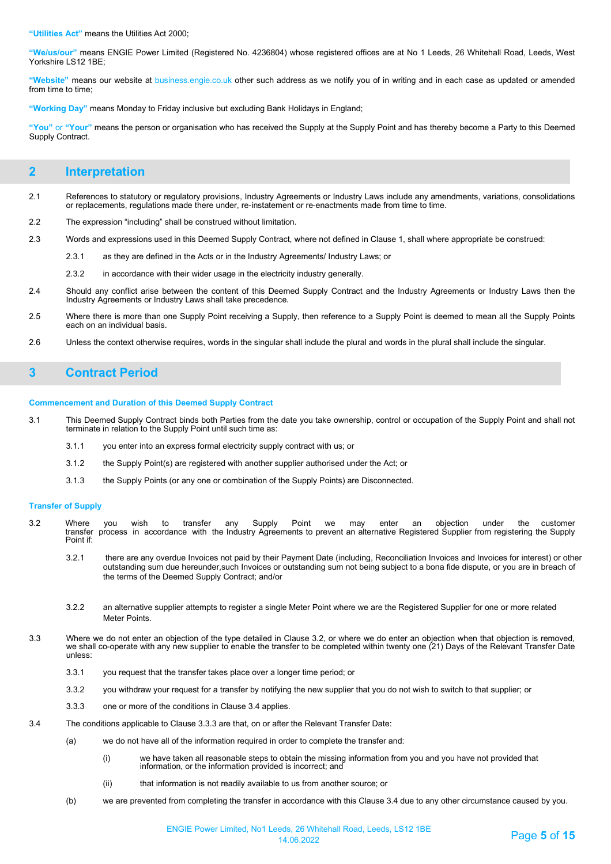**"Utilities Act"** means the Utilities Act 2000;

**"We/us/our"** means ENGIE Power Limited (Registered No. 4236804) whose registered offices are at No 1 Leeds, 26 Whitehall Road, Leeds, West Yorkshire LS12 1BE;

**"Website"** means our website at business.engie.co.uk other such address as we notify you of in writing and in each case as updated or amended from time to time;

**"Working Day"** means Monday to Friday inclusive but excluding Bank Holidays in England;

**"You"** or **"Your"** means the person or organisation who has received the Supply at the Supply Point and has thereby become a Party to this Deemed Supply Contract.

# **2 Interpretation**

- 2.1 References to statutory or regulatory provisions, Industry Agreements or Industry Laws include any amendments, variations, consolidations or replacements, regulations made there under, re-instatement or re-enactments made from time to time.
- 2.2 The expression "including" shall be construed without limitation.
- 2.3 Words and expressions used in this Deemed Supply Contract, where not defined in Clause 1, shall where appropriate be construed:
	- 2.3.1 as they are defined in the Acts or in the Industry Agreements/ Industry Laws; or
	- 2.3.2 in accordance with their wider usage in the electricity industry generally.
- 2.4 Should any conflict arise between the content of this Deemed Supply Contract and the Industry Agreements or Industry Laws then the Industry Agreements or Industry Laws shall take precedence.
- 2.5 Where there is more than one Supply Point receiving a Supply, then reference to a Supply Point is deemed to mean all the Supply Points each on an individual basis.
- 2.6 Unless the context otherwise requires, words in the singular shall include the plural and words in the plural shall include the singular.

# **3 Contract Period**

#### **Commencement and Duration of this Deemed Supply Contract**

- 3.1 This Deemed Supply Contract binds both Parties from the date you take ownership, control or occupation of the Supply Point and shall not terminate in relation to the Supply Point until such time as:
	- 3.1.1 you enter into an express formal electricity supply contract with us; or
	- 3.1.2 the Supply Point(s) are registered with another supplier authorised under the Act; or
	- 3.1.3 the Supply Points (or any one or combination of the Supply Points) are Disconnected.

### **Transfer of Supply**

- 3.2 Where you wish to transfer any Supply Point we may enter an objection under the customer transfer process in accordance with the Industry Agreements to prevent an alternative Registered Supplier from registering the Supply transfer<br>Point if:
	- 3.2.1 there are any overdue Invoices not paid by their Payment Date (including, Reconciliation Invoices and Invoices for interest) or other outstanding sum due hereunder,such Invoices or outstanding sum not being subject to a bona fide dispute, or you are in breach of the terms of the Deemed Supply Contract; and/or
	- 3.2.2 an alternative supplier attempts to register a single Meter Point where we are the Registered Supplier for one or more related Meter Points.
- 3.3 Where we do not enter an objection of the type detailed in Clause 3.2, or where we do enter an objection when that objection is removed, we shall co-operate with any new supplier to enable the transfer to be completed within twenty one (21) Days of the Relevant Transfer Date unless:
	- 3.3.1 you request that the transfer takes place over a longer time period; or
	- 3.3.2 you withdraw your request for a transfer by notifying the new supplier that you do not wish to switch to that supplier; or
	- 3.3.3 one or more of the conditions in Clause 3.4 applies.
- 3.4 The conditions applicable to Clause 3.3.3 are that, on or after the Relevant Transfer Date:
	- (a) we do not have all of the information required in order to complete the transfer and:
		- (i) we have taken all reasonable steps to obtain the missing information from you and you have not provided that information, or the information provided is incorrect; and
		- (ii) that information is not readily available to us from another source; or
	- (b) we are prevented from completing the transfer in accordance with this Clause 3.4 due to any other circumstance caused by you.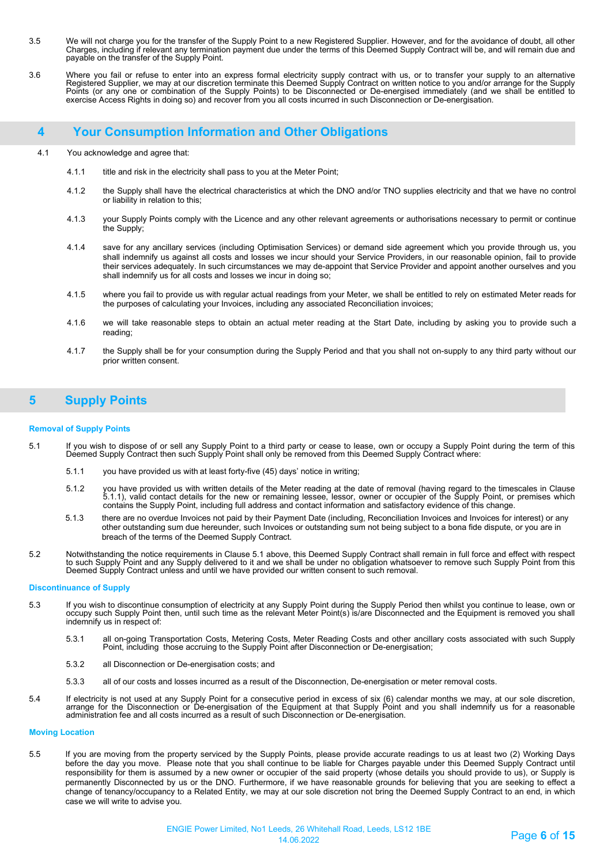- 3.5 We will not charge you for the transfer of the Supply Point to a new Registered Supplier. However, and for the avoidance of doubt, all other Charges, including if relevant any termination payment due under the terms of this Deemed Supply Contract will be, and will remain due and payable on the transfer of the Supply Point.
- 3.6 Where you fail or refuse to enter into an express formal electricity supply contract with us, or to transfer your supply to an alternative Registered Supplier, we may at our discretion terminate this Deemed Supply Contract on written notice to you and/or arrange for the Supply Points (or any one or combination of the Supply Points) to be Disconnected or De-energised immediately (and we shall be entitled to<br>exercise Access Rights in doing so) and recover from you all costs incurred in such Discon

# **4 Your Consumption Information and Other Obligations**

- 4.1 You acknowledge and agree that:
	- 4.1.1 title and risk in the electricity shall pass to you at the Meter Point;
	- 4.1.2 the Supply shall have the electrical characteristics at which the DNO and/or TNO supplies electricity and that we have no control or liability in relation to this;
	- 4.1.3 your Supply Points comply with the Licence and any other relevant agreements or authorisations necessary to permit or continue the Supply;
	- 4.1.4 save for any ancillary services (including Optimisation Services) or demand side agreement which you provide through us, you shall indemnify us against all costs and losses we incur should your Service Providers, in our reasonable opinion, fail to provide their services adequately. In such circumstances we may de-appoint that Service Provider and appoint another ourselves and you shall indemnify us for all costs and losses we incur in doing so;
	- 4.1.5 where you fail to provide us with regular actual readings from your Meter, we shall be entitled to rely on estimated Meter reads for the purposes of calculating your Invoices, including any associated Reconciliation invoices;
	- 4.1.6 we will take reasonable steps to obtain an actual meter reading at the Start Date, including by asking you to provide such a reading;
	- 4.1.7 the Supply shall be for your consumption during the Supply Period and that you shall not on-supply to any third party without our prior written consent.

# **5 Supply Points**

### **Removal of Supply Points**

- 5.1 If you wish to dispose of or sell any Supply Point to a third party or cease to lease, own or occupy a Supply Point during the term of this<br>Deemed Supply Contract then such Supply Point shall only be removed from th
	- 5.1.1 you have provided us with at least forty-five (45) days' notice in writing;
	- 5.1.2 you have provided us with written details of the Meter reading at the date of removal (having regard to the timescales in Clause 5.1.1), valid contact details for the new or remaining lessee, lessor, owner or occupier of the Supply Point, or premises which contains the Supply Point, including full address and contact information and satisfactory evidence of this change.
	- 5.1.3 there are no overdue Invoices not paid by their Payment Date (including, Reconciliation Invoices and Invoices for interest) or any other outstanding sum due hereunder, such Invoices or outstanding sum not being subject to a bona fide dispute, or you are in breach of the terms of the Deemed Supply Contract.
- 5.2 Notwithstanding the notice requirements in Clause 5.1 above, this Deemed Supply Contract shall remain in full force and effect with respect to such Supply Point and any Supply delivered to it and we shall be under no obligation whatsoever to remove such Supply Point from this<br>Deemed Supply Contract unless and until we have provided our written consent to such

#### **Discontinuance of Supply**

- 5.3 If you wish to discontinue consumption of electricity at any Supply Point during the Supply Period then whilst you continue to lease, own or occupy such Supply Point then, until such time as the relevant Meter Point(s) is/are Disconnected and the Equipment is removed you shall indemnify us in respect of:
	- 5.3.1 all on-going Transportation Costs, Metering Costs, Meter Reading Costs and other ancillary costs associated with such Supply Point, including those accruing to the Supply Point after Disconnection or De-energisation;
	- 5.3.2 all Disconnection or De-energisation costs; and
	- 5.3.3 all of our costs and losses incurred as a result of the Disconnection, De-energisation or meter removal costs.
- 5.4 If electricity is not used at any Supply Point for a consecutive period in excess of six (6) calendar months we may, at our sole discretion, arrange for the Disconnection or De-energisation of the Equipment at that Supply Point and you shall indemnify us for a reasonable administration fee and all costs incurred as a result of such Disconnection or De-energisation.

#### **Moving Location**

5.5 If you are moving from the property serviced by the Supply Points, please provide accurate readings to us at least two (2) Working Days before the day you move. Please note that you shall continue to be liable for Charges payable under this Deemed Supply Contract until responsibility for them is assumed by a new owner or occupier of the said property (whose details you should provide to us), or Supply is permanently Disconnected by us or the DNO. Furthermore, if we have reasonable grounds for believing that you are seeking to effect a change of tenancy/occupancy to a Related Entity, we may at our sole discretion not bring the Deemed Supply Contract to an end, in which case we will write to advise you.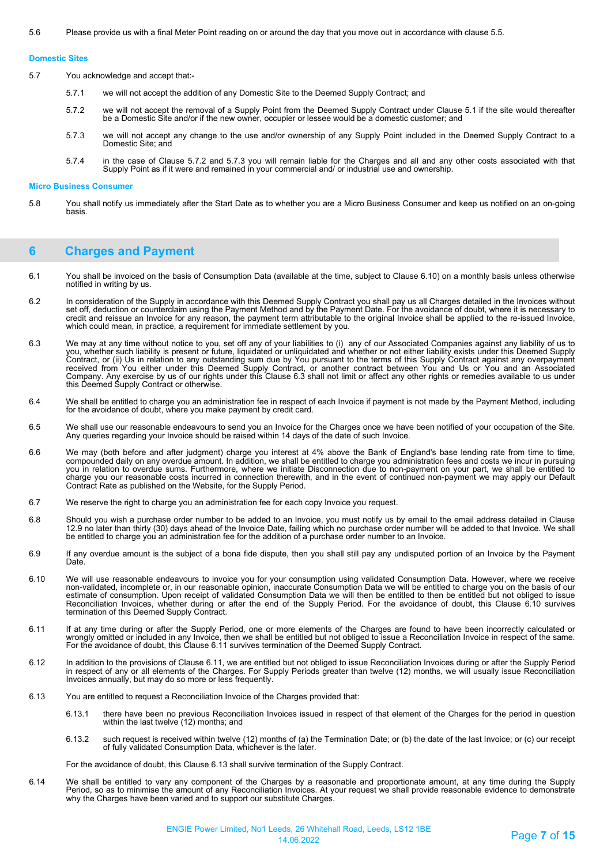#### **Domestic Sites**

5.7 You acknowledge and accept that:-

- 5.7.1 we will not accept the addition of any Domestic Site to the Deemed Supply Contract; and
- 5.7.2 we will not accept the removal of a Supply Point from the Deemed Supply Contract under Clause 5.1 if the site would thereafter<br>be a Domestic Site and/or if the new owner, occupier or lessee would be a domestic custom
- 5.7.3 we will not accept any change to the use and/or ownership of any Supply Point included in the Deemed Supply Contract to a Domestic Site; and
- 5.7.4 in the case of Clause 5.7.2 and 5.7.3 you will remain liable for the Charges and all and any other costs associated with that Supply Point as if it were and remained in your commercial and/ or industrial use and ownership.

#### **Micro Business Consumer**

5.8 You shall notify us immediately after the Start Date as to whether you are a Micro Business Consumer and keep us notified on an on-going basis.

# **6 Charges and Payment**

- 6.1 You shall be invoiced on the basis of Consumption Data (available at the time, subject to Clause 6.10) on a monthly basis unless otherwise notified in writing by us.
- 6.2 In consideration of the Supply in accordance with this Deemed Supply Contract you shall pay us all Charges detailed in the Invoices without set off, deduction or counterclaim using the Payment Method and by the Payment Date. For the avoidance of doubt, where it is necessary to credit and reissue an Invoice for any reason, the payment term attributable to the original Invoice shall be applied to the re-issued Invoice, which could mean, in practice, a requirement for immediate settlement by you.
- 6.3 We may at any time without notice to you, set off any of your liabilities to (i) any of our Associated Companies against any liability of us to you, whether such liability is present or future, liquidated or unliquidated and whether or not either liability exists under this Deemed Supply Contract, or (ii) Us in relation to any outstanding sum due by You pursuant to the terms of this Supply Contract against any overpayment<br>received from You either under this Deemed Supply Contract, or another contract betwe Company. Any exercise by us of our rights under this Clause 6.3 shall not limit or affect any other rights or remedies available to us under this Deemed Supply Contract or otherwise.
- 6.4 We shall be entitled to charge you an administration fee in respect of each Invoice if payment is not made by the Payment Method, including for the avoidance of doubt, where you make payment by credit card.
- 6.5 We shall use our reasonable endeavours to send you an Invoice for the Charges once we have been notified of your occupation of the Site. Any queries regarding your Invoice should be raised within 14 days of the date of such Invoice.
- 6.6 We may (both before and after judgment) charge you interest at 4% above the Bank of England's base lending rate from time to time, compounded daily on any overdue amount. In addition, we shall be entitled to charge you administration fees and costs we incur in pursuing<br>you in relation to overdue sums. Furthermore, where we initiate Disconnection due t charge you our reasonable costs incurred in connection therewith, and in the event of continued non-payment we may apply our Default Contract Rate as published on the Website, for the Supply Period.
- 6.7 We reserve the right to charge you an administration fee for each copy Invoice you request.
- 6.8 Should you wish a purchase order number to be added to an Invoice, you must notify us by email to the email address detailed in Clause<br>12.9 no later than thirty (30) days ahead of the Invoice Date, failing which no be entitled to charge you an administration fee for the addition of a purchase order number to an Invoice.
- 6.9 If any overdue amount is the subject of a bona fide dispute, then you shall still pay any undisputed portion of an Invoice by the Payment Date<sup>-</sup>
- 6.10 We will use reasonable endeavours to invoice you for your consumption using validated Consumption Data. However, where we receive<br>non-validated, incomplete or, in our reasonable opinion, inaccurate Consumption Data we estimate of consumption. Upon receipt of validated Consumption Data we will then be entitled to then be entitled but not obliged to issue Reconciliation Invoices, whether during or after the end of the Supply Period. For the avoidance of doubt, this Clause 6.10 survives termination of this Deemed Supply Contract.
- 6.11 If at any time during or after the Supply Period, one or more elements of the Charges are found to have been incorrectly calculated or wrongly omitted or included in any Invoice, then we shall be entitled but not obliged to issue a Reconciliation Invoice in respect of the same. For the avoidance of doubt, this Clause 6.11 survives termination of the Deemed Supply Contract.
- 6.12 In addition to the provisions of Clause 6.11, we are entitled but not obliged to issue Reconciliation Invoices during or after the Supply Period in respect of any or all elements of the Charges. For Supply Periods greater than twelve (12) months, we will usually issue Reconciliation Invoices annually, but may do so more or less frequently.
- 6.13 You are entitled to request a Reconciliation Invoice of the Charges provided that:
	- 6.13.1 there have been no previous Reconciliation Invoices issued in respect of that element of the Charges for the period in question within the last twelve (12) months; and
	- 6.13.2 such request is received within twelve (12) months of (a) the Termination Date; or (b) the date of the last Invoice; or (c) our receipt of fully validated Consumption Data, whichever is the later.

For the avoidance of doubt, this Clause 6.13 shall survive termination of the Supply Contract.

6.14 We shall be entitled to vary any component of the Charges by a reasonable and proportionate amount, at any time during the Supply Period, so as to minimise the amount of any Reconciliation Invoices. At your request we shall provide reasonable evidence to demonstrate why the Charges have been varied and to support our substitute Charges.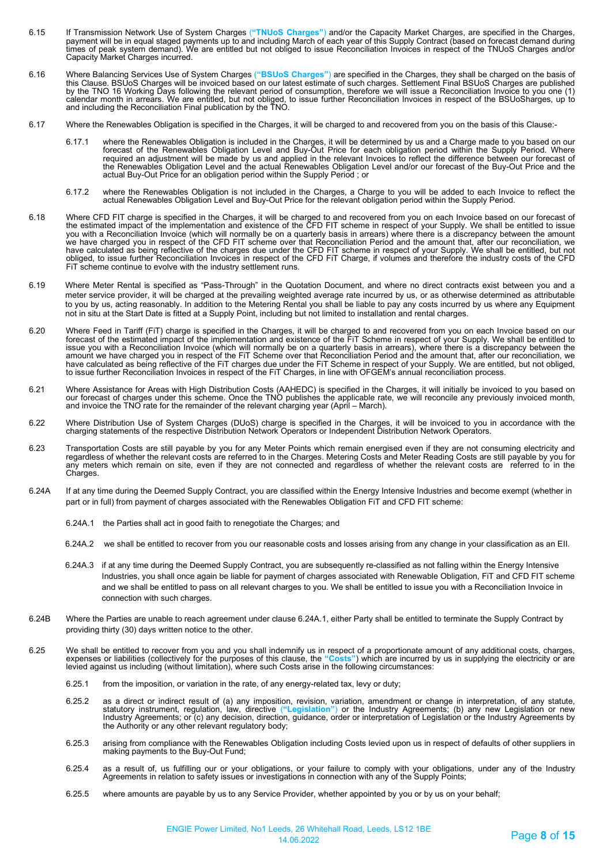- 6.15 If Transmission Network Use of System Charges ("TNUoS Charges") and/or the Capacity Market Charges, are specified in the Charges,<br>payment will be in equal staged payments up to and including March of each year of th Capacity Market Charges incurred.
- 6.16 Where Balancing Services Use of System Charges (**"BSUoS Charges"**) are specified in the Charges, they shall be charged on the basis of this Clause. BSUoS Charges will be invoiced based on our latest estimate of such charges. Settlement Final BSUoS Charges are published by the TNO 16 Working Days following the relevant period of consumption, therefore we will issue a Reconciliation Invoice to you one (1) calendar month in arrears. We are entitled, but not obliged, to issue further Reconciliation Invoices in respect of the BSUoSharges, up to and including the Reconciliation Final publication by the TNO.
- 6.17 Where the Renewables Obligation is specified in the Charges, it will be charged to and recovered from you on the basis of this Clause:-
	- 6.17.1 where the Renewables Obligation is included in the Charges, it will be determined by us and a Charge made to you based on our<br>forecast of the Renewables Obligation Level and Buy-Out Price for each obligation period required an adjustment will be made by us and applied in the relevant Invoices to reflect the difference between our forecast of the Renewables Obligation Level and the actual Renewables Obligation Level and/or our forecast of the Buy-Out Price and the actual Buy-Out Price for an obligation period within the Supply Period ; or
	- 6.17.2 where the Renewables Obligation is not included in the Charges, a Charge to you will be added to each Invoice to reflect the actual Renewables Obligation Level and Buy-Out Price for the relevant obligation period within the Supply Period.
- 6.18 Where CFD FIT charge is specified in the Charges, it will be charged to and recovered from you on each Invoice based on our forecast of the estimated impact of the implementation and existence of the CFD FIT scheme in respect of your Supply. We shall be entitled to issue<br>you with a Reconciliation Invoice (which will normally be on a quarterly basis in arre we have charged you in respect of the CFD FIT scheme over that Reconciliation Period and the amount that, after our reconciliation, we have calculated as being reflective of the charges due under the CFD FIT scheme in respect of your Supply. We shall be entitled, but not obliged, to issue further Reconciliation Invoices in respect of the CFD FiT Charge, if volumes and therefore the industry costs of the CFD FiT scheme continue to evolve with the industry settlement runs.
- 6.19 Where Meter Rental is specified as "Pass-Through" in the Quotation Document, and where no direct contracts exist between you and a meter service provider, it will be charged at the prevailing weighted average rate incurred by us, or as otherwise determined as attributable to you by us, acting reasonably. In addition to the Metering Rental you shall be liable to pay any costs incurred by us where any Equipment not in situ at the Start Date is fitted at a Supply Point, including but not limited to installation and rental charges.
- 6.20 Where Feed in Tariff (FiT) charge is specified in the Charges, it will be charged to and recovered from you on each Invoice based on our forecast of the estimated impact of the implementation and existence of the FiT Scheme in respect of your Supply. We shall be entitled to issue you with a Reconciliation Invoice (which will normally be on a quarterly basis in arrears), where there is a discrepancy between the<br>amount we have charged you in respect of the FiT Scheme over that Reconciliation Pe have calculated as being reflective of the FiT charges due under the FiT Scheme in respect of your Supply. We are entitled, but not obliged, to issue further Reconciliation Invoices in respect of the FiT Charges, in line with OFGEM's annual reconciliation process.
- 6.21 Where Assistance for Areas with High Distribution Costs (AAHEDC) is specified in the Charges, it will initially be invoiced to you based on<br>our forecast of charges under this scheme. Once the TNO publishes the applica and invoice the TNO rate for the remainder of the relevant charging year (April – March).
- 6.22 Where Distribution Use of System Charges (DUoS) charge is specified in the Charges, it will be invoiced to you in accordance with the charging statements of the respective Distribution Network Operators or Independent Distribution Network Operators.
- 6.23 Transportation Costs are still payable by you for any Meter Points which remain energised even if they are not consuming electricity and regardless of whether the relevant costs are referred to in the Charges. Metering Costs and Meter Reading Costs are still payable by you for any meters which remain on site, even if they are not connected and regardless of whether the relevant costs are referred to in the Charges.
- 6.24A If at any time during the Deemed Supply Contract, you are classified within the Energy Intensive Industries and become exempt (whether in part or in full) from payment of charges associated with the Renewables Obligation FiT and CFD FIT scheme:
	- 6.24A.1 the Parties shall act in good faith to renegotiate the Charges; and
	- 6.24A.2 we shall be entitled to recover from you our reasonable costs and losses arising from any change in your classification as an EII.
	- 6.24A.3 if at any time during the Deemed Supply Contract, you are subsequently re-classified as not falling within the Energy Intensive Industries, you shall once again be liable for payment of charges associated with Renewable Obligation, FiT and CFD FIT scheme and we shall be entitled to pass on all relevant charges to you. We shall be entitled to issue you with a Reconciliation Invoice in connection with such charges.
- 6.24B Where the Parties are unable to reach agreement under clause 6.24A.1, either Party shall be entitled to terminate the Supply Contract by providing thirty (30) days written notice to the other.
- 6.25 We shall be entitled to recover from you and you shall indemnify us in respect of a proportionate amount of any additional costs, charges, expenses or liabilities (collectively for the purposes of this clause, the "Costs") which are incurred by us in supplying the electricity or are<br>levied against us including (without limitation), where such Costs arise in t
	- 6.25.1 from the imposition, or variation in the rate, of any energy-related tax, levy or duty;
	- 6.25.2 as a direct or indirect result of (a) any imposition, revision, variation, amendment or change in interpretation, of any statute, statutory instrument, regulation, law, directive ("Legislation") or the Industry Agreements; (b) any new Legislation or new<br>Industry Agreements; or (c) any decision, direction, guidance, order or interpretation of Legislat the Authority or any other relevant regulatory body;
	- 6.25.3 arising from compliance with the Renewables Obligation including Costs levied upon us in respect of defaults of other suppliers in making payments to the Buy-Out Fund;
	- 6.25.4 as a result of, us fulfilling our or your obligations, or your failure to comply with your obligations, under any of the Industry<br>Agreements in relation to safety issues or investigations in connection with any of
	- 6.25.5 where amounts are payable by us to any Service Provider, whether appointed by you or by us on your behalf;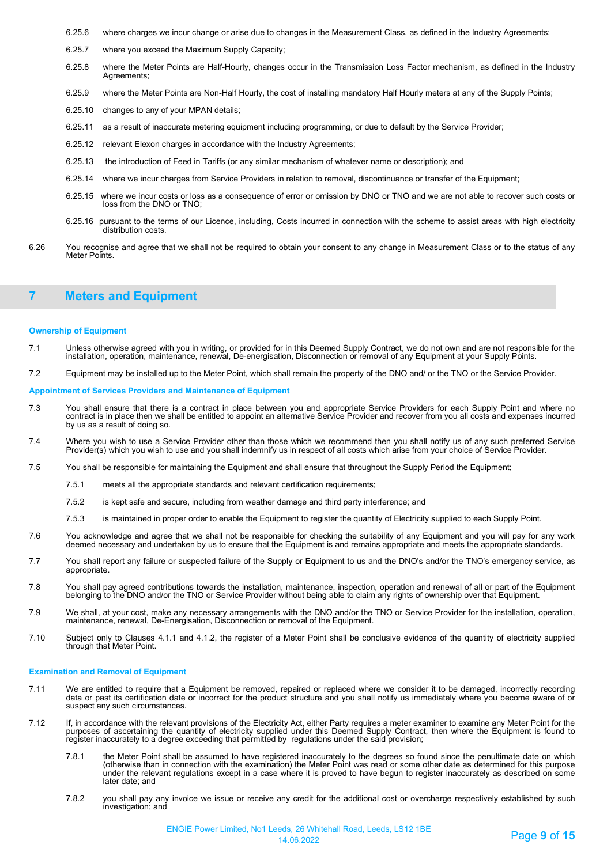- 6.25.6 where charges we incur change or arise due to changes in the Measurement Class, as defined in the Industry Agreements;
- 6.25.7 where you exceed the Maximum Supply Capacity;
- 6.25.8 where the Meter Points are Half-Hourly, changes occur in the Transmission Loss Factor mechanism, as defined in the Industry Agreements;
- 6.25.9 where the Meter Points are Non-Half Hourly, the cost of installing mandatory Half Hourly meters at any of the Supply Points;
- 6.25.10 changes to any of your MPAN details;
- 6.25.11 as a result of inaccurate metering equipment including programming, or due to default by the Service Provider;
- 6.25.12 relevant Elexon charges in accordance with the Industry Agreements;
- 6.25.13 the introduction of Feed in Tariffs (or any similar mechanism of whatever name or description); and
- 6.25.14 where we incur charges from Service Providers in relation to removal, discontinuance or transfer of the Equipment;
- 6.25.15 where we incur costs or loss as a consequence of error or omission by DNO or TNO and we are not able to recover such costs or loss from the DNO or TNO;
- 6.25.16 pursuant to the terms of our Licence, including, Costs incurred in connection with the scheme to assist areas with high electricity distribution costs.
- 6.26 You recognise and agree that we shall not be required to obtain your consent to any change in Measurement Class or to the status of any Meter Points.

# **7 Meters and Equipment**

### **Ownership of Equipment**

- 7.1 Unless otherwise agreed with you in writing, or provided for in this Deemed Supply Contract, we do not own and are not responsible for the installation, operation, maintenance, renewal, De-energisation, Disconnection or removal of any Equipment at your Supply Points.
- 7.2 Equipment may be installed up to the Meter Point, which shall remain the property of the DNO and/ or the TNO or the Service Provider.

#### **Appointment of Services Providers and Maintenance of Equipment**

- 7.3 You shall ensure that there is a contract in place between you and appropriate Service Providers for each Supply Point and where no<br>contract is in place then we shall be entitled to appoint an alternative Service Provi by us as a result of doing so.
- 7.4 Where you wish to use a Service Provider other than those which we recommend then you shall notify us of any such preferred Service Provider(s) which you wish to use and you shall indemnify us in respect of all costs which arise from your choice of Service Provider.
- 7.5 You shall be responsible for maintaining the Equipment and shall ensure that throughout the Supply Period the Equipment;
	- 7.5.1 meets all the appropriate standards and relevant certification requirements;
	- 7.5.2 is kept safe and secure, including from weather damage and third party interference; and
	- 7.5.3 is maintained in proper order to enable the Equipment to register the quantity of Electricity supplied to each Supply Point.
- 7.6 You acknowledge and agree that we shall not be responsible for checking the suitability of any Equipment and you will pay for any work<br>deemed necessary and undertaken by us to ensure that the Equipment is and r
- 7.7 You shall report any failure or suspected failure of the Supply or Equipment to us and the DNO's and/or the TNO's emergency service, as appropriate.
- 7.8 You shall pay agreed contributions towards the installation, maintenance, inspection, operation and renewal of all or part of the Equipment belonging to the DNO and/or the TNO or Service Provider without being able to claim any rights of ownership over that Equipment.
- 7.9 We shall, at your cost, make any necessary arrangements with the DNO and/or the TNO or Service Provider for the installation, operation, maintenance, renewal, De-Energisation, Disconnection or removal of the Equipment.
- 7.10 Subject only to Clauses 4.1.1 and 4.1.2, the register of a Meter Point shall be conclusive evidence of the quantity of electricity supplied through that Meter Point.

### **Examination and Removal of Equipment**

- 7.11 We are entitled to require that a Equipment be removed, repaired or replaced where we consider it to be damaged, incorrectly recording data or past its certification date or incorrect for the product structure and you shall notify us immediately where you become aware of or suspect any such circumstances.
- 7.12 If, in accordance with the relevant provisions of the Electricity Act, either Party requires a meter examiner to examine any Meter Point for the purposes of ascertaining the quantity of electricity supplied under this Deemed Supply Contract, then where the Equipment is found to register inaccurately to a degree exceeding that permitted by regulations under the said provision;
	- 7.8.1 the Meter Point shall be assumed to have registered inaccurately to the degrees so found since the penultimate date on which (otherwise than in connection with the examination) the Meter Point was read or some other date as determined for this purpose under the relevant regulations except in a case where it is proved to have begun to register inaccurately as described on some later date; and
	- 7.8.2 you shall pay any invoice we issue or receive any credit for the additional cost or overcharge respectively established by such investigation; and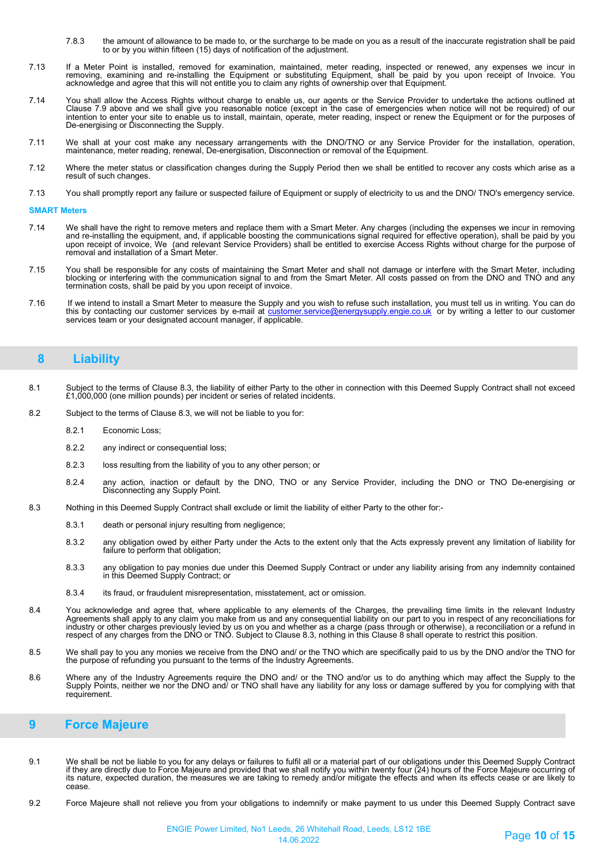- 7.8.3 the amount of allowance to be made to, or the surcharge to be made on you as a result of the inaccurate registration shall be paid to or by you within fifteen (15) days of notification of the adjustment.
- 7.13 If a Meter Point is installed, removed for examination, maintained, meter reading, inspected or renewed, any expenses we incur in<br>removing, examining and re-installing the Equipment or substituting Equipment, shall acknowledge and agree that this will not entitle you to claim any rights of ownership over that Equipment.
- 7.14 You shall allow the Access Rights without charge to enable us, our agents or the Service Provider to undertake the actions outlined at Clause 7.9 above and we shall give you reasonable notice (except in the case of emergencies when notice will not be required) of our intention to enter your site to enable us to install, maintain, operate, meter reading, inspect or renew the Equipment or for the purposes of De-energising or Disconnecting the Supply.
- 7.11 We shall at your cost make any necessary arrangements with the DNO/TNO or any Service Provider for the installation, operation, maintenance, meter reading, renewal, De-energisation, Disconnection or removal of the Equipment.
- 7.12 Where the meter status or classification changes during the Supply Period then we shall be entitled to recover any costs which arise as a result of such changes.
- 7.13 You shall promptly report any failure or suspected failure of Equipment or supply of electricity to us and the DNO/ TNO's emergency service.

#### **SMART Meters**

- 7.14 We shall have the right to remove meters and replace them with a Smart Meter. Any charges (including the expenses we incur in removing and re-installing the equipment, and, if applicable boosting the communications signal required for effective operation), shall be paid by you upon receipt of invoice, We (and relevant Service Providers) shall be entitled to exercise Access Rights without charge for the purpose of removal and installation of a Smart Meter.
- 7.15 You shall be responsible for any costs of maintaining the Smart Meter and shall not damage or interfere with the Smart Meter, including blocking or interfering with the communication signal to and from the Smart Meter. All costs passed on from the DNO and TNO and any termination costs, shall be paid by you upon receipt of invoice.
- 7.16If we intend to install a Smart Meter to measure the Supply and you wish to refuse such installation, you must tell us in writing. You can do tomer service@energysupply.engie.co.uk or by writing a letter to our customer It we intend to instant a Unitat weight and the Unitate to the Sustainable.<br>this by contacting our customer services by e-mail at <u>customer</u><br>services team or your designated account manager, if applicable.

# **8 Liability**

- 8.1 Subject to the terms of Clause 8.3, the liability of either Party to the other in connection with this Deemed Supply Contract shall not exceed £1,000,000 (one million pounds) per incident or series of related incidents.
- 8.2 Subject to the terms of Clause 8.3, we will not be liable to you for:
	- 8.2.1 Economic Loss;
	- 8.2.2 any indirect or consequential loss;
	- 8.2.3 loss resulting from the liability of you to any other person; or
	- 8.2.4 any action, inaction or default by the DNO, TNO or any Service Provider, including the DNO or TNO De-energising or Disconnecting any Supply Point.
- 8.3 Nothing in this Deemed Supply Contract shall exclude or limit the liability of either Party to the other for:-
	- 8.3.1 death or personal injury resulting from negligence;
	- 8.3.2 any obligation owed by either Party under the Acts to the extent only that the Acts expressly prevent any limitation of liability for failure to perform that obligation;
	- 8.3.3 any obligation to pay monies due under this Deemed Supply Contract or under any liability arising from any indemnity contained in this Deemed Supply Contract; or
	- 8.3.4 its fraud, or fraudulent misrepresentation, misstatement, act or omission.
- 8.4 You acknowledge and agree that, where applicable to any elements of the Charges, the prevailing time limits in the relevant Industry Agreements shall apply to any claim you make from us and any consequential liability on our part to you in respect of any reconciliations for<br>industry or other charges previously levied by us on you and whether as a charge respect of any charges from the DNO or TNO. Subject to Clause 8.3, nothing in this Clause 8 shall operate to restrict this position.
- 8.5 We shall pay to you any monies we receive from the DNO and/ or the TNO which are specifically paid to us by the DNO and/or the TNO for the purpose of refunding you pursuant to the terms of the Industry Agreements.
- 8.6 Where any of the Industry Agreements require the DNO and/ or the TNO and/or us to do anything which may affect the Supply to the<br>Supply Points, neither we nor the DNO and/ or TNO shall have any liability for any loss o requirement.

# **9 Force Majeure**

- 9.1 We shall be not be liable to you for any delays or failures to fulfil all or a material part of our obligations under this Deemed Supply Contract if they are directly due to Force Majeure and provided that we shall notify you within twenty four (24) hours of the Force Majeure occurring of its nature, expected duration, the measures we are taking to remedy and/or mitigate the effects and when its effects cease or are likely to<br>cease.
- 9.2 Force Majeure shall not relieve you from your obligations to indemnify or make payment to us under this Deemed Supply Contract save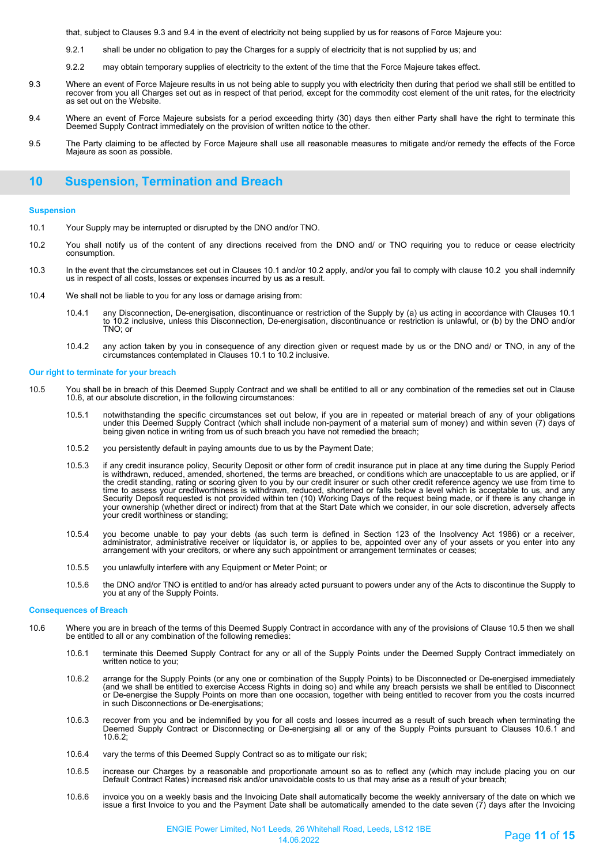that, subject to Clauses 9.3 and 9.4 in the event of electricity not being supplied by us for reasons of Force Majeure you:

- 9.2.1 shall be under no obligation to pay the Charges for a supply of electricity that is not supplied by us; and
- 9.2.2 may obtain temporary supplies of electricity to the extent of the time that the Force Majeure takes effect.
- 9.3 Where an event of Force Majeure results in us not being able to supply you with electricity then during that period we shall still be entitled to recover from you all Charges set out as in respect of that period, except for the commodity cost element of the unit rates, for the electricity as set out on the Website.
- 9.4 Where an event of Force Majeure subsists for a period exceeding thirty (30) days then either Party shall have the right to terminate this Deemed Supply Contract immediately on the provision of written notice to the other.
- 9.5 The Party claiming to be affected by Force Majeure shall use all reasonable measures to mitigate and/or remedy the effects of the Force Majeure as soon as possible.

### **10 Suspension, Termination and Breach**

#### **Suspension**

- 10.1 Your Supply may be interrupted or disrupted by the DNO and/or TNO.
- 10.2 You shall notify us of the content of any directions received from the DNO and/ or TNO requiring you to reduce or cease electricity consumption.
- 10.3 In the event that the circumstances set out in Clauses 10.1 and/or 10.2 apply, and/or you fail to comply with clause 10.2 you shall indemnify us in respect of all costs, losses or expenses incurred by us as a result.
- 10.4 We shall not be liable to you for any loss or damage arising from:
	- 10.4.1 any Disconnection, De-energisation, discontinuance or restriction of the Supply by (a) us acting in accordance with Clauses 10.1 to 10.2 inclusive, unless this Disconnection, De-energisation, discontinuance or restriction is unlawful, or (b) by the DNO and/or TNO; or
	- 10.4.2 any action taken by you in consequence of any direction given or request made by us or the DNO and/ or TNO, in any of the circumstances contemplated in Clauses 10.1 to 10.2 inclusive.

### **Our right to terminate for your breach**

- 10.5 You shall be in breach of this Deemed Supply Contract and we shall be entitled to all or any combination of the remedies set out in Clause 10.6, at our absolute discretion, in the following circumstances:
	- 10.5.1 notwithstanding the specific circumstances set out below, if you are in repeated or material breach of any of your obligations under this Deemed Supply Contract (which shall include non-payment of a material sum of money) and within seven (7) days of being given notice in writing from us of such breach you have not remedied the breach;
	- 10.5.2 you persistently default in paying amounts due to us by the Payment Date;
	- 10.5.3 if any credit insurance policy, Security Deposit or other form of credit insurance put in place at any time during the Supply Period is withdrawn, reduced, amended, shortened, the terms are breached, or conditions which are unacceptable to us are applied, or if the credit standing, rating or scoring given to you by our credit insurer or such other credit reference agency we use from time to time to assess your creditworthiness is withdrawn, reduced, shortened or falls below a level which is acceptable to us, and any<br>Security Deposit requested is not provided within ten (10) Working Days of the request being m your ownership (whether direct or indirect) from that at the Start Date which we consider, in our sole discretion, adversely affects your credit worthiness or standing;
	- 10.5.4 you become unable to pay your debts (as such term is defined in Section 123 of the Insolvency Act 1986) or a receiver, administrator, administrative receiver or liquidator is, or applies to be, appointed over any of your assets or you enter into any<br>arrangement with your creditors, or where any such appointment or arrangement terminates or
	- 10.5.5 you unlawfully interfere with any Equipment or Meter Point; or
	- 10.5.6 the DNO and/or TNO is entitled to and/or has already acted pursuant to powers under any of the Acts to discontinue the Supply to you at any of the Supply Points.

#### **Consequences of Breach**

- 10.6 Where you are in breach of the terms of this Deemed Supply Contract in accordance with any of the provisions of Clause 10.5 then we shall be entitled to all or any combination of the following remedies:
	- 10.6.1 terminate this Deemed Supply Contract for any or all of the Supply Points under the Deemed Supply Contract immediately on written notice to you;
	- 10.6.2 arrange for the Supply Points (or any one or combination of the Supply Points) to be Disconnected or De-energised immediately (and we shall be entitled to exercise Access Rights in doing so) and while any breach persists we shall be entitled to Disconnect or De-energise the Supply Points on more than one occasion, together with being entitled to recover from you the costs incurred in such Disconnections or De-energisations;
	- 10.6.3 recover from you and be indemnified by you for all costs and losses incurred as a result of such breach when terminating the Deemed Supply Contract or Disconnecting or De-energising all or any of the Supply Points pursuant to Clauses 10.6.1 and 10.6.2;
	- 10.6.4 vary the terms of this Deemed Supply Contract so as to mitigate our risk;
	- 10.6.5 increase our Charges by a reasonable and proportionate amount so as to reflect any (which may include placing you on our Default Contract Rates) increased risk and/or unavoidable costs to us that may arise as a result of your breach;
	- 10.6.6 invoice you on a weekly basis and the Invoicing Date shall automatically become the weekly anniversary of the date on which we issue a first Invoice to you and the Payment Date shall be automatically amended to the date seven  $(7)$  days after the Invoicing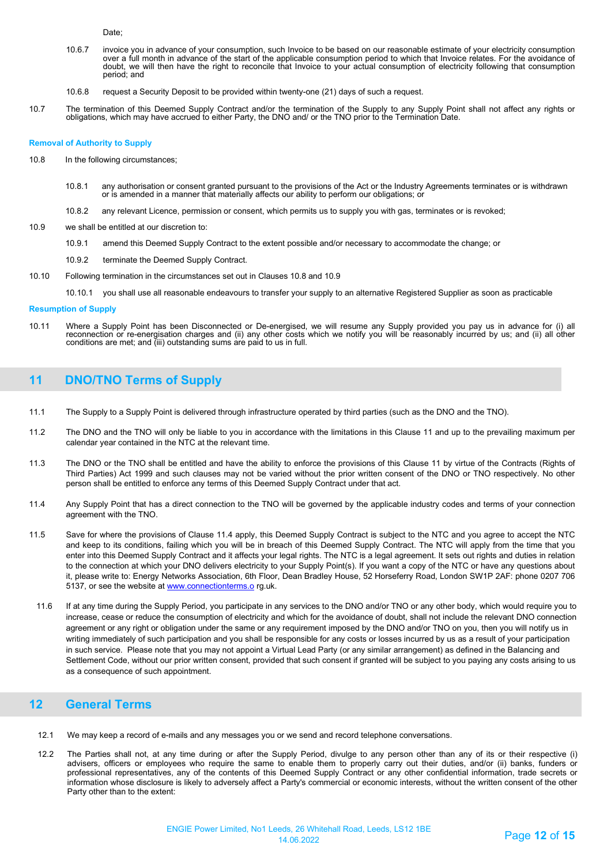Date;

- 10.6.7 invoice you in advance of your consumption, such Invoice to be based on our reasonable estimate of your electricity consumption over a tull month in advance of the start of the applicable consumption period to which that Invoice relates. For the avoidance of<br>doubt, we will then have the right to reconcile that Invoice to your actual consumption of period; and
- 10.6.8 request a Security Deposit to be provided within twenty-one (21) days of such a request.
- 10.7 The termination of this Deemed Supply Contract and/or the termination of the Supply to any Supply Point shall not affect any rights or obligations, which may have accrued to either Party, the DNO and/ or the TNO prior to the Termination Date.

#### **Removal of Authority to Supply**

- 10.8 In the following circumstances;
	- 10.8.1 any authorisation or consent granted pursuant to the provisions of the Act or the Industry Agreements terminates or is withdrawn<br>or is amended in a manner that materially affects our ability to perform our obligatio
	- 10.8.2 any relevant Licence, permission or consent, which permits us to supply you with gas, terminates or is revoked;
- 10.9 we shall be entitled at our discretion to:
	- 10.9.1 amend this Deemed Supply Contract to the extent possible and/or necessary to accommodate the change; or
	- 10.9.2 terminate the Deemed Supply Contract.
- 10.10 Following termination in the circumstances set out in Clauses 10.8 and 10.9
	- 10.10.1 you shall use all reasonable endeavours to transfer your supply to an alternative Registered Supplier as soon as practicable

#### **Resumption of Supply**

10.11 Where a Supply Point has been Disconnected or De-energised, we will resume any Supply provided you pay us in advance for (i) all reconnection or re-energisation charges and (ii) any other costs which we notify you will be reasonably incurred by us; and (ii) all other<br>conditions are met; and (iii) outstanding sums are paid to us in full.

# **11 DNO/TNO Terms of Supply**

- 11.1 The Supply to a Supply Point is delivered through infrastructure operated by third parties (such as the DNO and the TNO).
- 11.2 The DNO and the TNO will only be liable to you in accordance with the limitations in this Clause 11 and up to the prevailing maximum per calendar year contained in the NTC at the relevant time.
- 11.3 The DNO or the TNO shall be entitled and have the ability to enforce the provisions of this Clause 11 by virtue of the Contracts (Rights of Third Parties) Act 1999 and such clauses may not be varied without the prior written consent of the DNO or TNO respectively. No other person shall be entitled to enforce any terms of this Deemed Supply Contract under that act.
- 11.4 Any Supply Point that has a direct connection to the TNO will be governed by the applicable industry codes and terms of your connection agreement with the TNO.
- 11.5 Save for where the provisions of Clause 11.4 apply, this Deemed Supply Contract is subject to the NTC and you agree to accept the NTC and keep to its conditions, failing which you will be in breach of this Deemed Supply Contract. The NTC will apply from the time that you enter into this Deemed Supply Contract and it affects your legal rights. The NTC is a legal agreement. It sets out rights and duties in relation to the connection at which your DNO delivers electricity to your Supply Point(s). If you want a copy of the NTC or have any questions about it, please write to: Energy Networks Association, 6th Floor, Dean Bradley House, 52 Horseferry Road, London SW1P 2AF: phone 0207 706 5137, or see the website a[t www.connectionterms.o](http://www.connectionterms.o/) rg.uk.
- 11.6 If at any time during the Supply Period, you participate in any services to the DNO and/or TNO or any other body, which would require you to increase, cease or reduce the consumption of electricity and which for the avoidance of doubt, shall not include the relevant DNO connection agreement or any right or obligation under the same or any requirement imposed by the DNO and/or TNO on you, then you will notify us in writing immediately of such participation and you shall be responsible for any costs or losses incurred by us as a result of your participation in such service. Please note that you may not appoint a Virtual Lead Party (or any similar arrangement) as defined in the Balancing and Settlement Code, without our prior written consent, provided that such consent if granted will be subject to you paying any costs arising to us as a consequence of such appointment.

# **12 General Terms**

- 12.1 We may keep a record of e-mails and any messages you or we send and record telephone conversations.
- 12.2 The Parties shall not, at any time during or after the Supply Period, divulge to any person other than any of its or their respective (i) advisers, officers or employees who require the same to enable them to properly carry out their duties, and/or (ii) banks, funders or professional representatives, any of the contents of this Deemed Supply Contract or any other confidential information, trade secrets or information whose disclosure is likely to adversely affect a Party's commercial or economic interests, without the written consent of the other Party other than to the extent: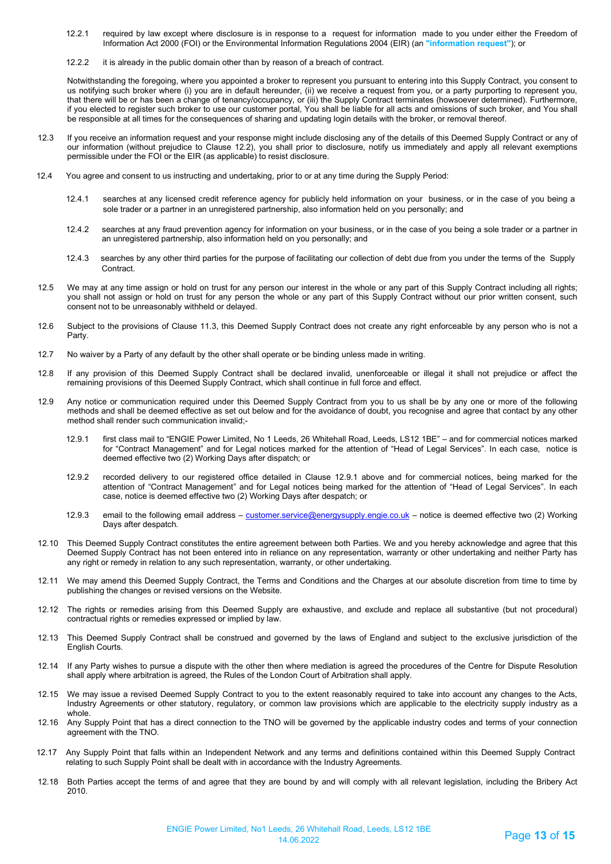- 12.2.1 required by law except where disclosure is in response to a request for information made to you under either the Freedom of Information Act 2000 (FOI) or the Environmental Information Regulations 2004 (EIR) (an **"information request"**); or
- 12.2.2 it is already in the public domain other than by reason of a breach of contract.

Notwithstanding the foregoing, where you appointed a broker to represent you pursuant to entering into this Supply Contract, you consent to us notifying such broker where (i) you are in default hereunder, (ii) we receive a request from you, or a party purporting to represent you, that there will be or has been a change of tenancy/occupancy, or (iii) the Supply Contract terminates (howsoever determined). Furthermore, if you elected to register such broker to use our customer portal, You shall be liable for all acts and omissions of such broker, and You shall be responsible at all times for the consequences of sharing and updating login details with the broker, or removal thereof.

- 12.3 If you receive an information request and your response might include disclosing any of the details of this Deemed Supply Contract or any of our information (without prejudice to Clause 12.2), you shall prior to disclosure, notify us immediately and apply all relevant exemptions permissible under the FOI or the EIR (as applicable) to resist disclosure.
- 12.4 You agree and consent to us instructing and undertaking, prior to or at any time during the Supply Period:
	- 12.4.1 searches at any licensed credit reference agency for publicly held information on your business, or in the case of you being a sole trader or a partner in an unregistered partnership, also information held on you personally; and
	- 12.4.2 searches at any fraud prevention agency for information on your business, or in the case of you being a sole trader or a partner in an unregistered partnership, also information held on you personally; and
	- 12.4.3 searches by any other third parties for the purpose of facilitating our collection of debt due from you under the terms of the Supply Contract.
- 12.5 We may at any time assign or hold on trust for any person our interest in the whole or any part of this Supply Contract including all rights; you shall not assign or hold on trust for any person the whole or any part of this Supply Contract without our prior written consent, such consent not to be unreasonably withheld or delayed.
- 12.6 Subject to the provisions of Clause 11.3, this Deemed Supply Contract does not create any right enforceable by any person who is not a Party.
- 12.7 No waiver by a Party of any default by the other shall operate or be binding unless made in writing.
- 12.8 If any provision of this Deemed Supply Contract shall be declared invalid, unenforceable or illegal it shall not prejudice or affect the remaining provisions of this Deemed Supply Contract, which shall continue in full force and effect.
- 12.9 Any notice or communication required under this Deemed Supply Contract from you to us shall be by any one or more of the following methods and shall be deemed effective as set out below and for the avoidance of doubt, you recognise and agree that contact by any other method shall render such communication invalid;-
	- 12.9.1 first class mail to "ENGIE Power Limited, No 1 Leeds, 26 Whitehall Road, Leeds, LS12 1BE" and for commercial notices marked for "Contract Management" and for Legal notices marked for the attention of "Head of Legal Services". In each case, notice is deemed effective two (2) Working Days after dispatch; or
	- 12.9.2 recorded delivery to our registered office detailed in Clause 12.9.1 above and for commercial notices, being marked for the attention of "Contract Management" and for Legal notices being marked for the attention of "Head of Legal Services". In each case, notice is deemed effective two (2) Working Days after despatch; or
	- 12.9.3 email to the following email address – [customer.service@energysupply.engie.co.uk](mailto:customer.service@energysupply.engie.co.uk)  notice is deemed effective two (2) Working Days after despatch.
- 12.10 This Deemed Supply Contract constitutes the entire agreement between both Parties. We and you hereby acknowledge and agree that this Deemed Supply Contract has not been entered into in reliance on any representation, warranty or other undertaking and neither Party has any right or remedy in relation to any such representation, warranty, or other undertaking.
- 12.11 We may amend this Deemed Supply Contract, the Terms and Conditions and the Charges at our absolute discretion from time to time by publishing the changes or revised versions on the Website.
- 12.12 The rights or remedies arising from this Deemed Supply are exhaustive, and exclude and replace all substantive (but not procedural) contractual rights or remedies expressed or implied by law.
- 12.13 This Deemed Supply Contract shall be construed and governed by the laws of England and subject to the exclusive jurisdiction of the English Courts.
- 12.14 If any Party wishes to pursue a dispute with the other then where mediation is agreed the procedures of the Centre for Dispute Resolution shall apply where arbitration is agreed, the Rules of the London Court of Arbitration shall apply.
- 12.15 We may issue a revised Deemed Supply Contract to you to the extent reasonably required to take into account any changes to the Acts, Industry Agreements or other statutory, regulatory, or common law provisions which are applicable to the electricity supply industry as a whole.
- 12.16 Any Supply Point that has a direct connection to the TNO will be governed by the applicable industry codes and terms of your connection agreement with the TNO.
- 12.17 Any Supply Point that falls within an Independent Network and any terms and definitions contained within this Deemed Supply Contract relating to such Supply Point shall be dealt with in accordance with the Industry Agreements.
- 12.18 Both Parties accept the terms of and agree that they are bound by and will comply with all relevant legislation, including the Bribery Act 2010.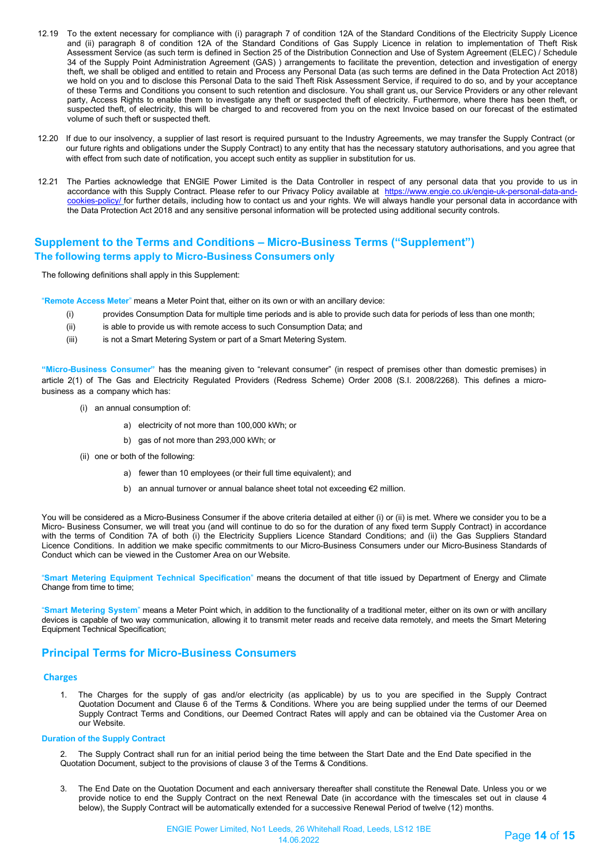- 12.19 To the extent necessary for compliance with (i) paragraph 7 of condition 12A of the Standard Conditions of the Electricity Supply Licence and (ii) paragraph 8 of condition 12A of the Standard Conditions of Gas Supply Licence in relation to implementation of Theft Risk Assessment Service (as such term is defined in Section 25 of the Distribution Connection and Use of System Agreement (ELEC) / Schedule 34 of the Supply Point Administration Agreement (GAS) ) arrangements to facilitate the prevention, detection and investigation of energy theft, we shall be obliged and entitled to retain and Process any Personal Data (as such terms are defined in the Data Protection Act 2018) we hold on you and to disclose this Personal Data to the said Theft Risk Assessment Service, if required to do so, and by your acceptance of these Terms and Conditions you consent to such retention and disclosure. You shall grant us, our Service Providers or any other relevant party, Access Rights to enable them to investigate any theft or suspected theft of electricity. Furthermore, where there has been theft, or suspected theft, of electricity, this will be charged to and recovered from you on the next Invoice based on our forecast of the estimated volume of such theft or suspected theft.
- 12.20 If due to our insolvency, a supplier of last resort is required pursuant to the Industry Agreements, we may transfer the Supply Contract (or our future rights and obligations under the Supply Contract) to any entity that has the necessary statutory authorisations, and you agree that with effect from such date of notification, you accept such entity as supplier in substitution for us.
- 12.21 The Parties acknowledge that ENGIE Power Limited is the Data Controller in respect of any personal data that you provide to us in accordance with this Supply Contract. Please refer to our Privacy Policy available at [https://www.engie.co.uk/engie-uk-personal-data-and](https://www.engie.co.uk/engie-uk-personal-data-and-cookies-policy/)[cookies-policy/](https://www.engie.co.uk/engie-uk-personal-data-and-cookies-policy/) for further details, including how to contact us and your rights. We will always handle your personal data in accordance with the Data Protection Act 2018 and any sensitive personal information will be protected using additional security controls.

# **Supplement to the Terms and Conditions – Micro-Business Terms ("Supplement") The following terms apply to Micro-Business Consumers only**

The following definitions shall apply in this Supplement:

"**Remote Access Meter**" means a Meter Point that, either on its own or with an ancillary device:

- (i) provides Consumption Data for multiple time periods and is able to provide such data for periods of less than one month;
- (ii) is able to provide us with remote access to such Consumption Data; and
- (iii) is not a Smart Metering System or part of a Smart Metering System.

**"Micro-Business Consumer"** has the meaning given to "relevant consumer" (in respect of premises other than domestic premises) in article 2(1) of The Gas and Electricity Regulated Providers (Redress Scheme) Order 2008 (S.I. 2008/2268). This defines a microbusiness as a company which has:

- (i) an annual consumption of:
	- a) electricity of not more than 100,000 kWh; or
	- b) gas of not more than 293,000 kWh; or
- (ii) one or both of the following:
	- a) fewer than 10 employees (or their full time equivalent); and
	- b) an annual turnover or annual balance sheet total not exceeding €2 million.

You will be considered as a Micro-Business Consumer if the above criteria detailed at either (i) or (ii) is met. Where we consider you to be a Micro- Business Consumer, we will treat you (and will continue to do so for the duration of any fixed term Supply Contract) in accordance with the terms of Condition 7A of both (i) the Electricity Suppliers Licence Standard Conditions; and (ii) the Gas Suppliers Standard Licence Conditions. In addition we make specific commitments to our Micro-Business Consumers under our Micro-Business Standards of Conduct which can be viewed in the Customer Area on our Website.

"**Smart Metering Equipment Technical Specification**" means the document of that title issued by Department of Energy and Climate Change from time to time;

"**Smart Metering System**" means a Meter Point which, in addition to the functionality of a traditional meter, either on its own or with ancillary devices is capable of two way communication, allowing it to transmit meter reads and receive data remotely, and meets the Smart Metering Equipment Technical Specification;

### **Principal Terms for Micro-Business Consumers**

### **Charges**

1. The Charges for the supply of gas and/or electricity (as applicable) by us to you are specified in the Supply Contract Quotation Document and Clause 6 of the Terms & Conditions. Where you are being supplied under the terms of our Deemed Supply Contract Terms and Conditions, our Deemed Contract Rates will apply and can be obtained via the Customer Area on our Website.

#### **Duration of the Supply Contract**

The Supply Contract shall run for an initial period being the time between the Start Date and the End Date specified in the Quotation Document, subject to the provisions of clause 3 of the Terms & Conditions.

3. The End Date on the Quotation Document and each anniversary thereafter shall constitute the Renewal Date. Unless you or we provide notice to end the Supply Contract on the next Renewal Date (in accordance with the timescales set out in clause 4 below), the Supply Contract will be automatically extended for a successive Renewal Period of twelve (12) months.